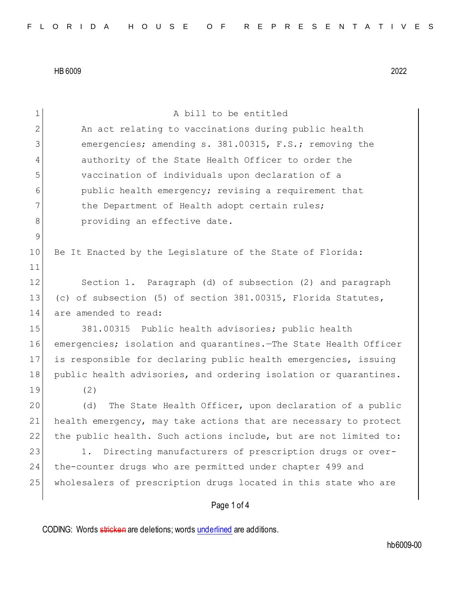| 1           | A bill to be entitled                                            |
|-------------|------------------------------------------------------------------|
| 2           | An act relating to vaccinations during public health             |
| 3           | emergencies; amending s. 381.00315, F.S.; removing the           |
| 4           | authority of the State Health Officer to order the               |
| 5           | vaccination of individuals upon declaration of a                 |
| 6           | public health emergency; revising a requirement that             |
| 7           | the Department of Health adopt certain rules;                    |
| 8           | providing an effective date.                                     |
| $\mathsf 9$ |                                                                  |
| 10          | Be It Enacted by the Legislature of the State of Florida:        |
| 11          |                                                                  |
| 12          | Section 1. Paragraph (d) of subsection (2) and paragraph         |
| 13          | (c) of subsection (5) of section 381.00315, Florida Statutes,    |
| 14          | are amended to read:                                             |
| 15          | 381.00315 Public health advisories; public health                |
| 16          | emergencies; isolation and quarantines. The State Health Officer |
| 17          | is responsible for declaring public health emergencies, issuing  |
| 18          | public health advisories, and ordering isolation or quarantines. |
| 19          | (2)                                                              |
| 20          | The State Health Officer, upon declaration of a public<br>(d)    |
| 21          | health emergency, may take actions that are necessary to protect |
| 22          | the public health. Such actions include, but are not limited to: |
| 23          | Directing manufacturers of prescription drugs or over-<br>1.     |
| 24          | the-counter drugs who are permitted under chapter 499 and        |
| 25          | wholesalers of prescription drugs located in this state who are  |
|             | Page 1 of 4                                                      |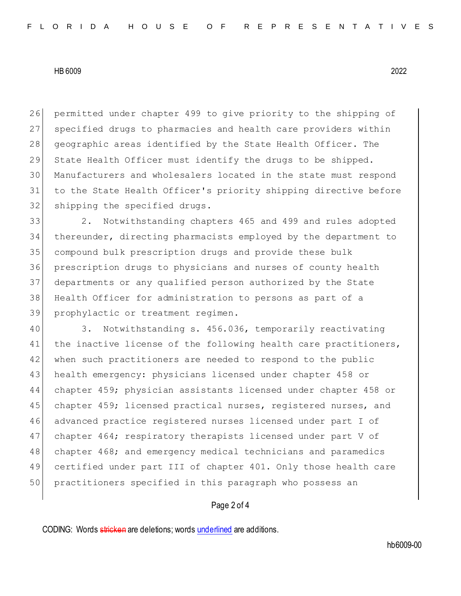26 permitted under chapter 499 to give priority to the shipping of 27 specified drugs to pharmacies and health care providers within 28 geographic areas identified by the State Health Officer. The 29 State Health Officer must identify the drugs to be shipped. 30 Manufacturers and wholesalers located in the state must respond 31 to the State Health Officer's priority shipping directive before 32 shipping the specified drugs.

 2. Notwithstanding chapters 465 and 499 and rules adopted thereunder, directing pharmacists employed by the department to compound bulk prescription drugs and provide these bulk prescription drugs to physicians and nurses of county health departments or any qualified person authorized by the State Health Officer for administration to persons as part of a prophylactic or treatment regimen.

40 3. Notwithstanding s. 456.036, temporarily reactivating 41 the inactive license of the following health care practitioners, 42 when such practitioners are needed to respond to the public 43 health emergency: physicians licensed under chapter 458 or 44 chapter 459; physician assistants licensed under chapter 458 or 45 chapter 459; licensed practical nurses, registered nurses, and 46 advanced practice registered nurses licensed under part I of 47 chapter 464; respiratory therapists licensed under part V of 48 chapter 468; and emergency medical technicians and paramedics 49 certified under part III of chapter 401. Only those health care 50 practitioners specified in this paragraph who possess an

## Page 2 of 4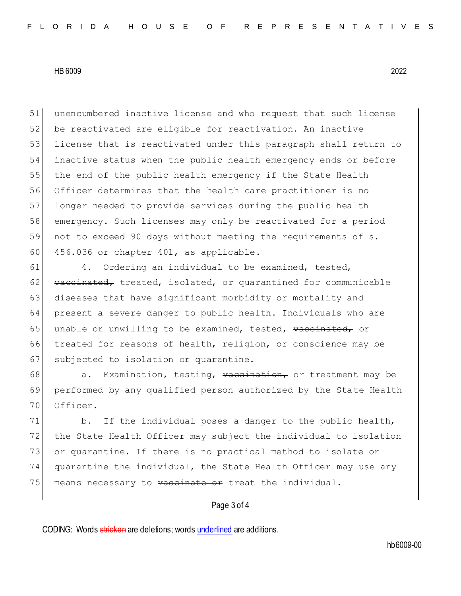unencumbered inactive license and who request that such license be reactivated are eligible for reactivation. An inactive 53 license that is reactivated under this paragraph shall return to inactive status when the public health emergency ends or before 55 the end of the public health emergency if the State Health Officer determines that the health care practitioner is no longer needed to provide services during the public health emergency. Such licenses may only be reactivated for a period not to exceed 90 days without meeting the requirements of s. 60 456.036 or chapter 401, as applicable.

61 4. Ordering an individual to be examined, tested,  $62$  vaccinated, treated, isolated, or quarantined for communicable 63 diseases that have significant morbidity or mortality and 64 present a severe danger to public health. Individuals who are 65 unable or unwilling to be examined, tested, vaccinated, or 66 treated for reasons of health, religion, or conscience may be 67 subjected to isolation or quarantine.

68 a. Examination, testing,  $\sqrt{v}$  vaccination, or treatment may be 69 performed by any qualified person authorized by the State Health 70 Officer.

71 b. If the individual poses a danger to the public health, 72 the State Health Officer may subject the individual to isolation 73 or quarantine. If there is no practical method to isolate or 74 quarantine the individual, the State Health Officer may use any 75 | means necessary to vaccinate or treat the individual.

## Page 3 of 4